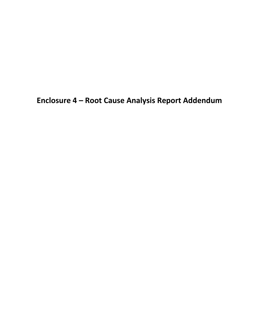**Enclosure 4 – Root Cause Analysis Report Addendum**